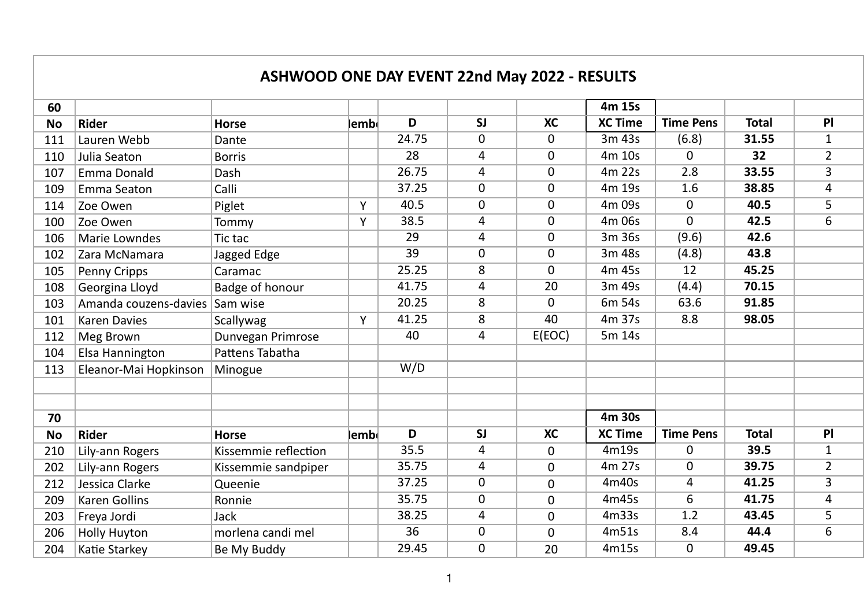|           |                       | <b>ASHWOOD ONE DAY EVENT 22nd May 2022 - RESULTS</b> |       |       |                         |           |                |                  |              |                |
|-----------|-----------------------|------------------------------------------------------|-------|-------|-------------------------|-----------|----------------|------------------|--------------|----------------|
| 60        |                       |                                                      |       |       |                         |           | 4m 15s         |                  |              |                |
| <b>No</b> | <b>Rider</b>          | <b>Horse</b>                                         | lembl | D     | SI                      | <b>XC</b> | <b>XC Time</b> | <b>Time Pens</b> | <b>Total</b> | PI             |
| 111       | Lauren Webb           | Dante                                                |       | 24.75 | $\mathbf{0}$            | 0         | 3m 43s         | (6.8)            | 31.55        | $\mathbf{1}$   |
| 110       | Julia Seaton          | <b>Borris</b>                                        |       | 28    | 4                       | 0         | 4m 10s         | 0                | 32           | $\overline{2}$ |
| 107       | Emma Donald           | Dash                                                 |       | 26.75 | 4                       | 0         | 4m 22s         | 2.8              | 33.55        | 3              |
| 109       | Emma Seaton           | Calli                                                |       | 37.25 | 0                       | 0         | 4m 19s         | 1.6              | 38.85        | 4              |
| 114       | Zoe Owen              | Piglet                                               | Y     | 40.5  | 0                       | 0         | 4m 09s         | 0                | 40.5         | 5              |
| 100       | Zoe Owen              | Tommy                                                | Y     | 38.5  | 4                       | 0         | 4m 06s         | $\Omega$         | 42.5         | $\overline{6}$ |
| 106       | Marie Lowndes         | Tic tac                                              |       | 29    | 4                       | 0         | 3m 36s         | (9.6)            | 42.6         |                |
| 102       | Zara McNamara         | Jagged Edge                                          |       | 39    | $\mathbf 0$             | 0         | 3m 48s         | (4.8)            | 43.8         |                |
| 105       | Penny Cripps          | Caramac                                              |       | 25.25 | 8                       | 0         | 4m 45s         | 12               | 45.25        |                |
| 108       | Georgina Lloyd        | Badge of honour                                      |       | 41.75 | 4                       | 20        | 3m 49s         | (4.4)            | 70.15        |                |
| 103       | Amanda couzens-davies | Sam wise                                             |       | 20.25 | 8                       | 0         | 6m 54s         | 63.6             | 91.85        |                |
| 101       | <b>Karen Davies</b>   | Scallywag                                            | Y     | 41.25 | 8                       | 40        | 4m 37s         | 8.8              | 98.05        |                |
| 112       | Meg Brown             | Dunvegan Primrose                                    |       | 40    | 4                       | E(EOC)    | 5m 14s         |                  |              |                |
| 104       | Elsa Hannington       | Pattens Tabatha                                      |       |       |                         |           |                |                  |              |                |
| 113       | Eleanor-Mai Hopkinson | Minogue                                              |       | W/D   |                         |           |                |                  |              |                |
|           |                       |                                                      |       |       |                         |           |                |                  |              |                |
|           |                       |                                                      |       |       |                         |           |                |                  |              |                |
| 70        |                       |                                                      |       |       |                         |           | 4m 30s         |                  |              |                |
| <b>No</b> | <b>Rider</b>          | <b>Horse</b>                                         | lembl | D     | $\overline{\mathsf{S}}$ | <b>XC</b> | <b>XC Time</b> | <b>Time Pens</b> | <b>Total</b> | PI             |
| 210       | Lily-ann Rogers       | Kissemmie reflection                                 |       | 35.5  | 4                       | 0         | 4m19s          | 0                | 39.5         | 1              |
| 202       | Lily-ann Rogers       | Kissemmie sandpiper                                  |       | 35.75 | 4                       | 0         | 4m 27s         | 0                | 39.75        | $\overline{2}$ |
| 212       | Jessica Clarke        | Queenie                                              |       | 37.25 | 0                       | 0         | 4m40s          | 4                | 41.25        | 3              |
| 209       | Karen Gollins         | Ronnie                                               |       | 35.75 | 0                       | 0         | 4m45s          | 6                | 41.75        | 4              |
| 203       | Freya Jordi           | Jack                                                 |       | 38.25 | 4                       | 0         | 4m33s          | 1.2              | 43.45        | 5              |
| 206       | <b>Holly Huyton</b>   | morlena candi mel                                    |       | 36    | 0                       | 0         | 4m51s          | 8.4              | 44.4         | 6              |
| 204       | Katie Starkey         | Be My Buddy                                          |       | 29.45 | 0                       | 20        | 4m15s          | 0                | 49.45        |                |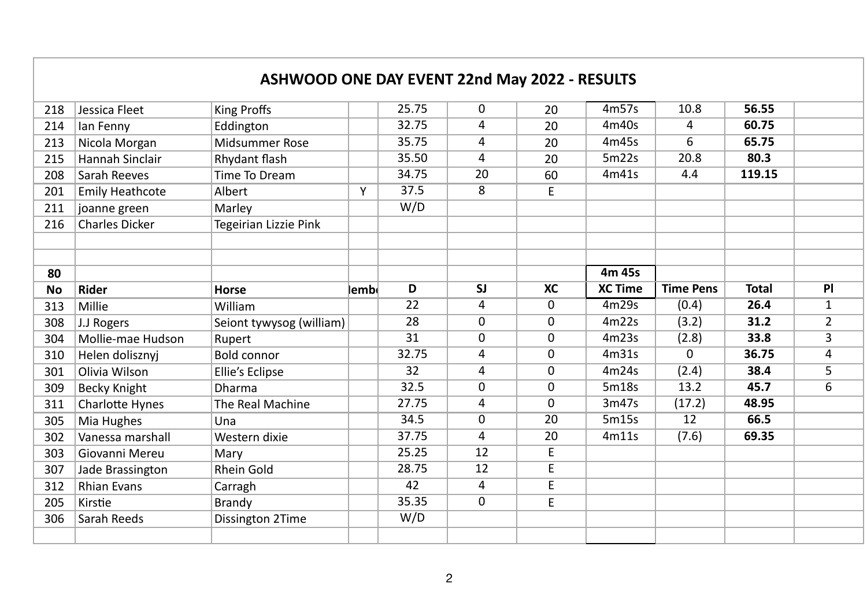|           |                        | <b>ASHWOOD ONE DAY EVENT 22nd May 2022 - RESULTS</b> |       |       |          |              |                |                  |              |                |
|-----------|------------------------|------------------------------------------------------|-------|-------|----------|--------------|----------------|------------------|--------------|----------------|
| 218       | Jessica Fleet          | <b>King Proffs</b>                                   |       | 25.75 | 0        | 20           | 4m57s          | 10.8             | 56.55        |                |
| 214       | lan Fenny              | Eddington                                            |       | 32.75 | 4        | 20           | 4m40s          | 4                | 60.75        |                |
| 213       | Nicola Morgan          | Midsummer Rose                                       |       | 35.75 | 4        | 20           | 4m45s          | 6                | 65.75        |                |
| 215       | <b>Hannah Sinclair</b> | Rhydant flash                                        |       | 35.50 | 4        | 20           | 5m22s          | 20.8             | 80.3         |                |
| 208       | Sarah Reeves           | Time To Dream                                        |       | 34.75 | 20       | 60           | 4m41s          | 4.4              | 119.15       |                |
| 201       | <b>Emily Heathcote</b> | Albert                                               | Y     | 37.5  | 8        | E            |                |                  |              |                |
| 211       | joanne green           | Marley                                               |       | W/D   |          |              |                |                  |              |                |
| 216       | <b>Charles Dicker</b>  | Tegeirian Lizzie Pink                                |       |       |          |              |                |                  |              |                |
|           |                        |                                                      |       |       |          |              |                |                  |              |                |
|           |                        |                                                      |       |       |          |              |                |                  |              |                |
| 80        |                        |                                                      |       |       |          |              | 4m 45s         |                  |              |                |
| <b>No</b> | <b>Rider</b>           | Horse                                                | lembl | D     | SJ       | XC           | <b>XC Time</b> | <b>Time Pens</b> | <b>Total</b> | PI             |
| 313       | Millie                 | William                                              |       | 22    | 4        | $\mathbf{0}$ | 4m29s          | (0.4)            | 26.4         | $\mathbf{1}$   |
| 308       | J.J Rogers             | Seiont tywysog (william)                             |       | 28    | $\Omega$ | $\Omega$     | 4m22s          | (3.2)            | 31.2         | $\overline{2}$ |
|           |                        |                                                      |       |       |          |              |                |                  |              |                |
| 304       | Mollie-mae Hudson      | Rupert                                               |       | 31    | $\Omega$ | $\Omega$     | 4m23s          | (2.8)            | 33.8         | 3              |
| 310       | Helen dolisznyj        | <b>Bold connor</b>                                   |       | 32.75 | 4        | $\Omega$     | 4m31s          | $\Omega$         | 36.75        | 4              |
| 301       | Olivia Wilson          | Ellie's Eclipse                                      |       | 32    | 4        | $\mathbf{0}$ | 4m24s          | (2.4)            | 38.4         | 5              |
| 309       | <b>Becky Knight</b>    | <b>Dharma</b>                                        |       | 32.5  | 0        | $\mathbf{0}$ | 5m18s          | 13.2             | 45.7         | 6              |
| 311       | <b>Charlotte Hynes</b> | The Real Machine                                     |       | 27.75 | 4        | $\Omega$     | 3m47s          | (17.2)           | 48.95        |                |
| 305       | Mia Hughes             | Una                                                  |       | 34.5  | $\Omega$ | 20           | 5m15s          | 12               | 66.5         |                |
| 302       | Vanessa marshall       | Western dixie                                        |       | 37.75 | 4        | 20           | 4m11s          | (7.6)            | 69.35        |                |
| 303       | Giovanni Mereu         | Mary                                                 |       | 25.25 | 12       | E            |                |                  |              |                |
| 307       | Jade Brassington       | <b>Rhein Gold</b>                                    |       | 28.75 | 12       | $\mathsf E$  |                |                  |              |                |
| 312       | <b>Rhian Evans</b>     | Carragh                                              |       | 42    | 4        | E            |                |                  |              |                |
| 205       | Kirstie                | Brandy                                               |       | 35.35 | 0        | $\mathsf E$  |                |                  |              |                |
| 306       | Sarah Reeds            | Dissington 2Time                                     |       | W/D   |          |              |                |                  |              |                |